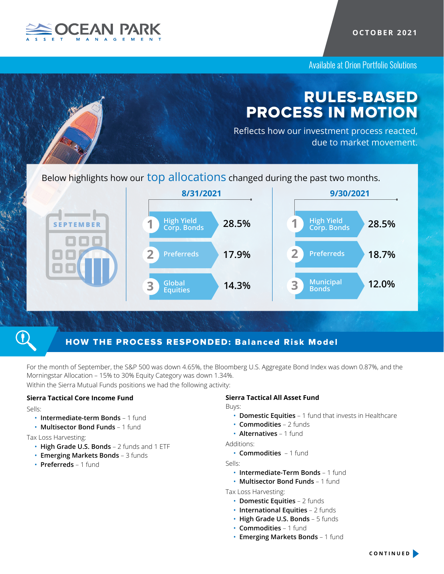

Available at Orion Portfolio Solutions

# RULES-BASED PROCESS IN MOTION

Reflects how our investment process reacted, due to market movement.

Below highlights how our top allocations changed during the past two months.



## HOW THE PROCESS RESPONDED: Balanced Risk Model

For the month of September, the S&P 500 was down 4.65%, the Bloomberg U.S. Aggregate Bond Index was down 0.87%, and the Morningstar Allocation – 15% to 30% Equity Category was down 1.34%. Within the Sierra Mutual Funds positions we had the following activity:

## **Sierra Tactical Core Income Fund**

Sells:

- **Intermediate-term Bonds** 1 fund
- **Multisector Bond Funds** 1 fund

Tax Loss Harvesting:

- **High Grade U.S. Bonds** 2 funds and 1 ETF
- **Emerging Markets Bonds** 3 funds
- **Preferreds** 1 fund

## **Sierra Tactical All Asset Fund**

Buys:

- **Domestic Equities** 1 fund that invests in Healthcare
- **Commodities** 2 funds
- **Alternatives**  1 fund

Additions:

• **Commodities** – 1 fund

Sells:

- **Intermediate-Term Bonds** 1 fund
- **Multisector Bond Funds** 1 fund

Tax Loss Harvesting:

- **Domestic Equities** 2 funds
- **International Equities** 2 funds
- **High Grade U.S. Bonds** 5 funds
- **Commodities** 1 fund
- **Emerging Markets Bonds** 1 fund